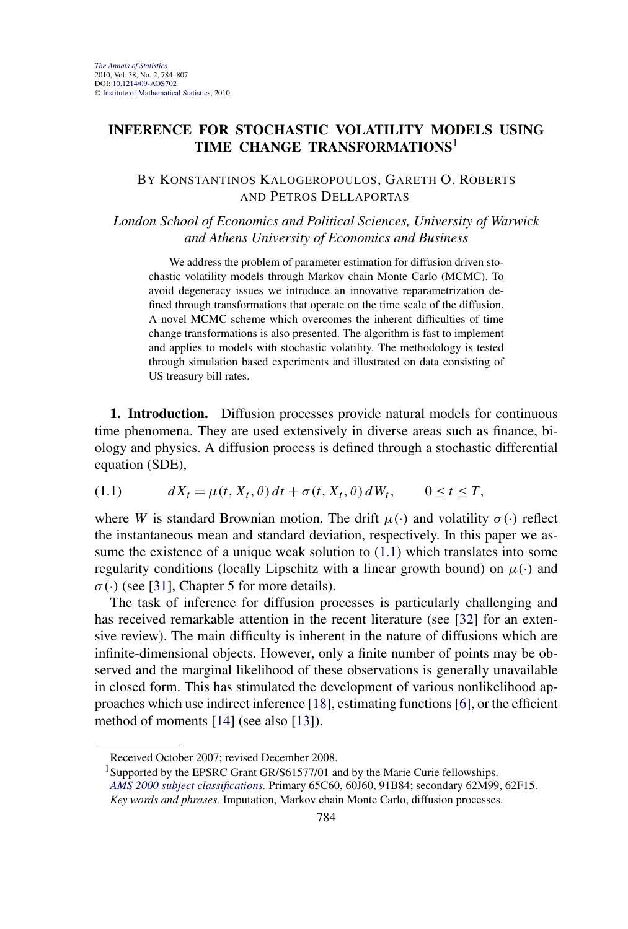## <span id="page-0-0"></span>**INFERENCE FOR STOCHASTIC VOLATILITY MODELS USING TIME CHANGE TRANSFORMATIONS**<sup>1</sup>

## BY KONSTANTINOS KALOGEROPOULOS, GARETH O. ROBERTS AND PETROS DELLAPORTAS

*London School of Economics and Political Sciences, University of Warwick and Athens University of Economics and Business*

We address the problem of parameter estimation for diffusion driven stochastic volatility models through Markov chain Monte Carlo (MCMC). To avoid degeneracy issues we introduce an innovative reparametrization defined through transformations that operate on the time scale of the diffusion. A novel MCMC scheme which overcomes the inherent difficulties of time change transformations is also presented. The algorithm is fast to implement and applies to models with stochastic volatility. The methodology is tested through simulation based experiments and illustrated on data consisting of US treasury bill rates.

**1. Introduction.** Diffusion processes provide natural models for continuous time phenomena. They are used extensively in diverse areas such as finance, biology and physics. A diffusion process is defined through a stochastic differential equation (SDE),

$$
(1.1) \t dX_t = \mu(t, X_t, \theta) dt + \sigma(t, X_t, \theta) dW_t, \t 0 \le t \le T,
$$

where *W* is standard Brownian motion. The drift  $\mu(\cdot)$  and volatility  $\sigma(\cdot)$  reflect the instantaneous mean and standard deviation, respectively. In this paper we assume the existence of a unique weak solution to  $(1.1)$  which translates into some regularity conditions (locally Lipschitz with a linear growth bound) on  $\mu(\cdot)$  and  $\sigma(\cdot)$  (see [\[31\]](#page-23-0), Chapter 5 for more details).

The task of inference for diffusion processes is particularly challenging and has received remarkable attention in the recent literature (see [\[32\]](#page-23-0) for an extensive review). The main difficulty is inherent in the nature of diffusions which are infinite-dimensional objects. However, only a finite number of points may be observed and the marginal likelihood of these observations is generally unavailable in closed form. This has stimulated the development of various nonlikelihood approaches which use indirect inference [\[18\]](#page-22-0), estimating functions [\[6\]](#page-22-0), or the efficient method of moments [\[14\]](#page-22-0) (see also [\[13\]](#page-22-0)).

Received October 2007; revised December 2008.

<sup>&</sup>lt;sup>1</sup>Supported by the EPSRC Grant GR/S61577/01 and by the Marie Curie fellowships.

*[AMS 2000 subject classifications.](http://www.ams.org/msc/)* Primary 65C60, 60J60, 91B84; secondary 62M99, 62F15. *Key words and phrases.* Imputation, Markov chain Monte Carlo, diffusion processes.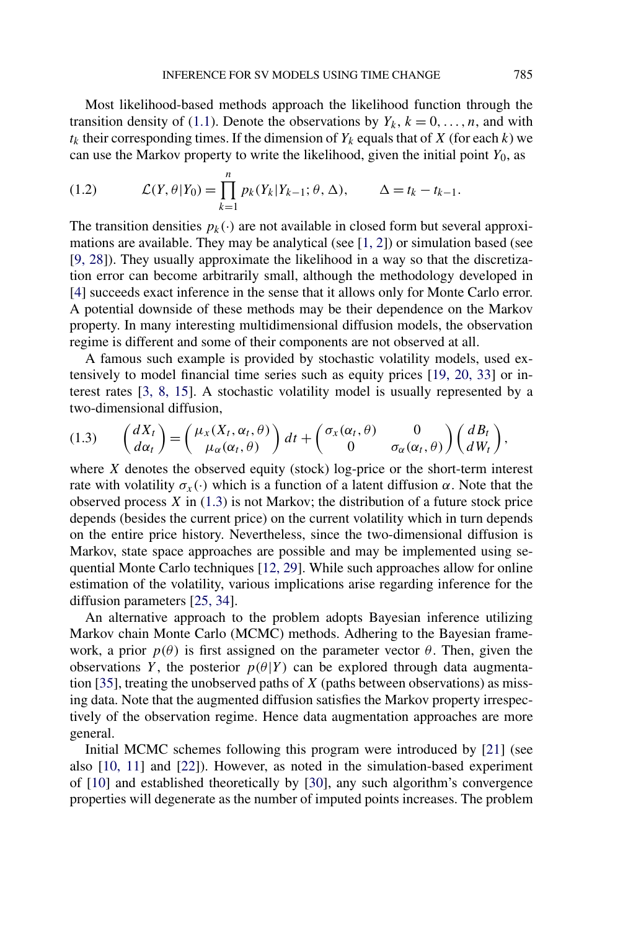<span id="page-1-0"></span>Most likelihood-based methods approach the likelihood function through the transition density of [\(1.1\)](#page-0-0). Denote the observations by  $Y_k$ ,  $k = 0, \ldots, n$ , and with  $t_k$  their corresponding times. If the dimension of  $Y_k$  equals that of  $X$  (for each  $k$ ) we can use the Markov property to write the likelihood, given the initial point  $Y_0$ , as

(1.2) 
$$
\mathcal{L}(Y,\theta|Y_0)=\prod_{k=1}^n p_k(Y_k|Y_{k-1};\theta,\Delta), \qquad \Delta=t_k-t_{k-1}.
$$

The transition densities  $p_k(\cdot)$  are not available in closed form but several approximations are available. They may be analytical (see [\[1, 2\]](#page-21-0)) or simulation based (see [\[9, 28\]](#page-22-0)). They usually approximate the likelihood in a way so that the discretization error can become arbitrarily small, although the methodology developed in [\[4\]](#page-22-0) succeeds exact inference in the sense that it allows only for Monte Carlo error. A potential downside of these methods may be their dependence on the Markov property. In many interesting multidimensional diffusion models, the observation regime is different and some of their components are not observed at all.

A famous such example is provided by stochastic volatility models, used extensively to model financial time series such as equity prices [\[19, 20, 33\]](#page-22-0) or interest rates [\[3, 8, 15\]](#page-22-0). A stochastic volatility model is usually represented by a two-dimensional diffusion,

$$
(1.3) \qquad \begin{pmatrix} dX_t \\ d\alpha_t \end{pmatrix} = \begin{pmatrix} \mu_x(X_t, \alpha_t, \theta) \\ \mu_{\alpha}(\alpha_t, \theta) \end{pmatrix} dt + \begin{pmatrix} \sigma_x(\alpha_t, \theta) & 0 \\ 0 & \sigma_{\alpha}(\alpha_t, \theta) \end{pmatrix} \begin{pmatrix} dB_t \\ dW_t \end{pmatrix},
$$

where  $X$  denotes the observed equity (stock) log-price or the short-term interest rate with volatility  $\sigma_x(\cdot)$  which is a function of a latent diffusion *α*. Note that the observed process *X* in (1.3) is not Markov; the distribution of a future stock price depends (besides the current price) on the current volatility which in turn depends on the entire price history. Nevertheless, since the two-dimensional diffusion is Markov, state space approaches are possible and may be implemented using sequential Monte Carlo techniques [\[12, 29\]](#page-22-0). While such approaches allow for online estimation of the volatility, various implications arise regarding inference for the diffusion parameters [\[25, 34\]](#page-22-0).

An alternative approach to the problem adopts Bayesian inference utilizing Markov chain Monte Carlo (MCMC) methods. Adhering to the Bayesian framework, a prior  $p(\theta)$  is first assigned on the parameter vector  $\theta$ . Then, given the observations *Y*, the posterior  $p(\theta|Y)$  can be explored through data augmentation [\[35\]](#page-23-0), treating the unobserved paths of *X* (paths between observations) as missing data. Note that the augmented diffusion satisfies the Markov property irrespectively of the observation regime. Hence data augmentation approaches are more general.

Initial MCMC schemes following this program were introduced by [\[21\]](#page-22-0) (see also [\[10, 11\]](#page-22-0) and [\[22\]](#page-22-0)). However, as noted in the simulation-based experiment of [\[10\]](#page-22-0) and established theoretically by [\[30\]](#page-23-0), any such algorithm's convergence properties will degenerate as the number of imputed points increases. The problem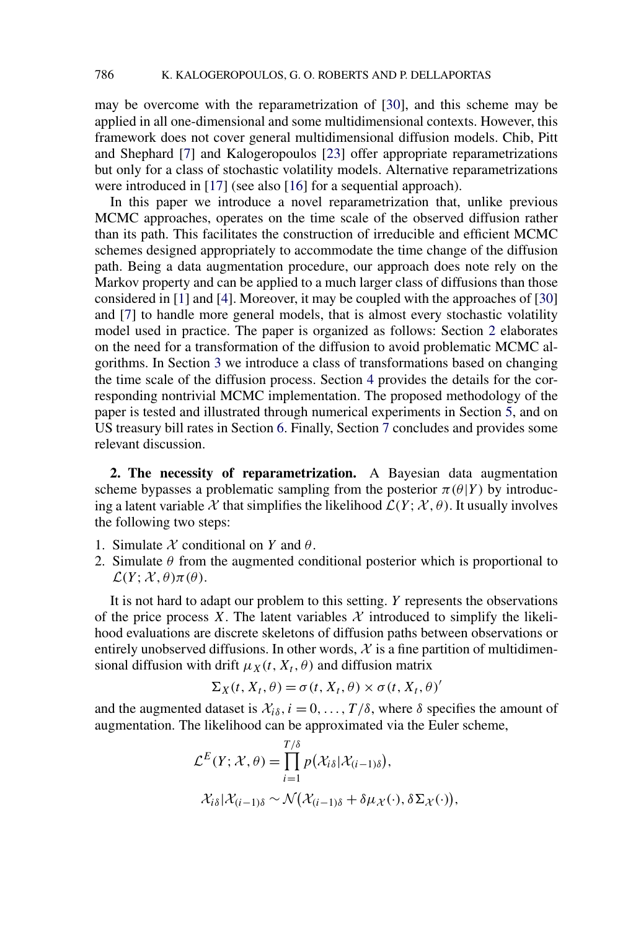<span id="page-2-0"></span>may be overcome with the reparametrization of [\[30\]](#page-23-0), and this scheme may be applied in all one-dimensional and some multidimensional contexts. However, this framework does not cover general multidimensional diffusion models. Chib, Pitt and Shephard [\[7\]](#page-22-0) and Kalogeropoulos [\[23\]](#page-22-0) offer appropriate reparametrizations but only for a class of stochastic volatility models. Alternative reparametrizations were introduced in [\[17\]](#page-22-0) (see also [\[16\]](#page-22-0) for a sequential approach).

In this paper we introduce a novel reparametrization that, unlike previous MCMC approaches, operates on the time scale of the observed diffusion rather than its path. This facilitates the construction of irreducible and efficient MCMC schemes designed appropriately to accommodate the time change of the diffusion path. Being a data augmentation procedure, our approach does note rely on the Markov property and can be applied to a much larger class of diffusions than those considered in [\[1\]](#page-21-0) and [\[4\]](#page-22-0). Moreover, it may be coupled with the approaches of [\[30\]](#page-23-0) and [\[7\]](#page-22-0) to handle more general models, that is almost every stochastic volatility model used in practice. The paper is organized as follows: Section 2 elaborates on the need for a transformation of the diffusion to avoid problematic MCMC algorithms. In Section [3](#page-3-0) we introduce a class of transformations based on changing the time scale of the diffusion process. Section [4](#page-10-0) provides the details for the corresponding nontrivial MCMC implementation. The proposed methodology of the paper is tested and illustrated through numerical experiments in Section [5,](#page-13-0) and on US treasury bill rates in Section [6.](#page-14-0) Finally, Section [7](#page-18-0) concludes and provides some relevant discussion.

**2. The necessity of reparametrization.** A Bayesian data augmentation scheme bypasses a problematic sampling from the posterior  $\pi(\theta|Y)$  by introducing a latent variable X that simplifies the likelihood  $\mathcal{L}(Y; \mathcal{X}, \theta)$ . It usually involves the following two steps:

- 1. Simulate X conditional on *Y* and *θ*.
- 2. Simulate  $\theta$  from the augmented conditional posterior which is proportional to  $\mathcal{L}(Y; \mathcal{X}, \theta) \pi(\theta)$ .

It is not hard to adapt our problem to this setting. *Y* represents the observations of the price process *X*. The latent variables  $X$  introduced to simplify the likelihood evaluations are discrete skeletons of diffusion paths between observations or entirely unobserved diffusions. In other words,  $X$  is a fine partition of multidimensional diffusion with drift  $\mu_X(t, X_t, \theta)$  and diffusion matrix

$$
\Sigma_X(t, X_t, \theta) = \sigma(t, X_t, \theta) \times \sigma(t, X_t, \theta)'
$$

and the augmented dataset is  $\mathcal{X}_{i\delta}$ ,  $i = 0, \ldots, T/\delta$ , where  $\delta$  specifies the amount of augmentation. The likelihood can be approximated via the Euler scheme,

$$
\mathcal{L}^{E}(Y; \mathcal{X}, \theta) = \prod_{i=1}^{T/\delta} p(\mathcal{X}_{i\delta} | \mathcal{X}_{(i-1)\delta}),
$$
  

$$
\mathcal{X}_{i\delta} | \mathcal{X}_{(i-1)\delta} \sim \mathcal{N}(\mathcal{X}_{(i-1)\delta} + \delta \mu_{\mathcal{X}}(\cdot), \delta \Sigma_{\mathcal{X}}(\cdot))
$$

*,*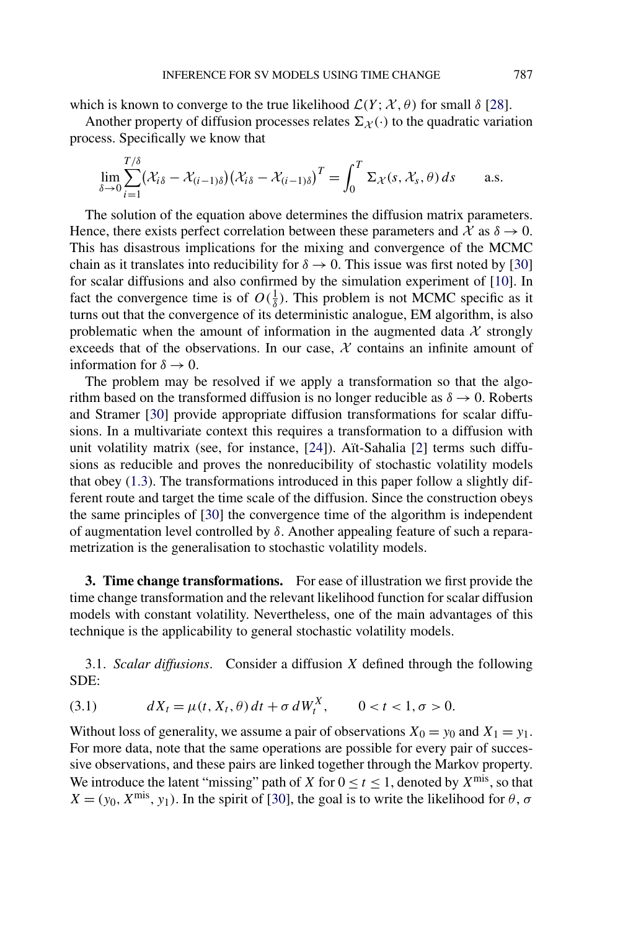<span id="page-3-0"></span>which is known to converge to the true likelihood  $\mathcal{L}(Y; \mathcal{X}, \theta)$  for small  $\delta$  [\[28\]](#page-23-0).

Another property of diffusion processes relates  $\Sigma_{\mathcal{X}}(\cdot)$  to the quadratic variation process. Specifically we know that

$$
\lim_{\delta \to 0} \sum_{i=1}^{T/\delta} (\mathcal{X}_{i\delta} - \mathcal{X}_{(i-1)\delta}) (\mathcal{X}_{i\delta} - \mathcal{X}_{(i-1)\delta})^T = \int_0^T \Sigma_{\mathcal{X}}(s, \mathcal{X}_s, \theta) ds \quad \text{a.s.}
$$

The solution of the equation above determines the diffusion matrix parameters. Hence, there exists perfect correlation between these parameters and  $\mathcal{X}$  as  $\delta \to 0$ . This has disastrous implications for the mixing and convergence of the MCMC chain as it translates into reducibility for  $\delta \rightarrow 0$ . This issue was first noted by [\[30\]](#page-23-0) for scalar diffusions and also confirmed by the simulation experiment of [\[10\]](#page-22-0). In fact the convergence time is of  $O(\frac{1}{\delta})$ . This problem is not MCMC specific as it turns out that the convergence of its deterministic analogue, EM algorithm, is also problematic when the amount of information in the augmented data  $\mathcal X$  strongly exceeds that of the observations. In our case,  $X$  contains an infinite amount of information for  $\delta \rightarrow 0$ .

The problem may be resolved if we apply a transformation so that the algorithm based on the transformed diffusion is no longer reducible as  $\delta \rightarrow 0$ . Roberts and Stramer [\[30\]](#page-23-0) provide appropriate diffusion transformations for scalar diffusions. In a multivariate context this requires a transformation to a diffusion with unit volatility matrix (see, for instance, [\[24\]](#page-22-0)). Aït-Sahalia [\[2\]](#page-21-0) terms such diffusions as reducible and proves the nonreducibility of stochastic volatility models that obey [\(1.3\)](#page-1-0). The transformations introduced in this paper follow a slightly different route and target the time scale of the diffusion. Since the construction obeys the same principles of [\[30\]](#page-23-0) the convergence time of the algorithm is independent of augmentation level controlled by *δ*. Another appealing feature of such a reparametrization is the generalisation to stochastic volatility models.

**3. Time change transformations.** For ease of illustration we first provide the time change transformation and the relevant likelihood function for scalar diffusion models with constant volatility. Nevertheless, one of the main advantages of this technique is the applicability to general stochastic volatility models.

3.1. *Scalar diffusions*. Consider a diffusion *X* defined through the following SDE:

(3.1) 
$$
dX_t = \mu(t, X_t, \theta) dt + \sigma dW_t^X, \qquad 0 < t < 1, \sigma > 0.
$$

Without loss of generality, we assume a pair of observations  $X_0 = y_0$  and  $X_1 = y_1$ . For more data, note that the same operations are possible for every pair of successive observations, and these pairs are linked together through the Markov property. We introduce the latent "missing" path of *X* for  $0 \le t \le 1$ , denoted by  $X^{\text{mis}}$ , so that  $X = (y_0, X^{\text{mis}}, y_1)$ . In the spirit of [\[30\]](#page-23-0), the goal is to write the likelihood for  $\theta$ ,  $\sigma$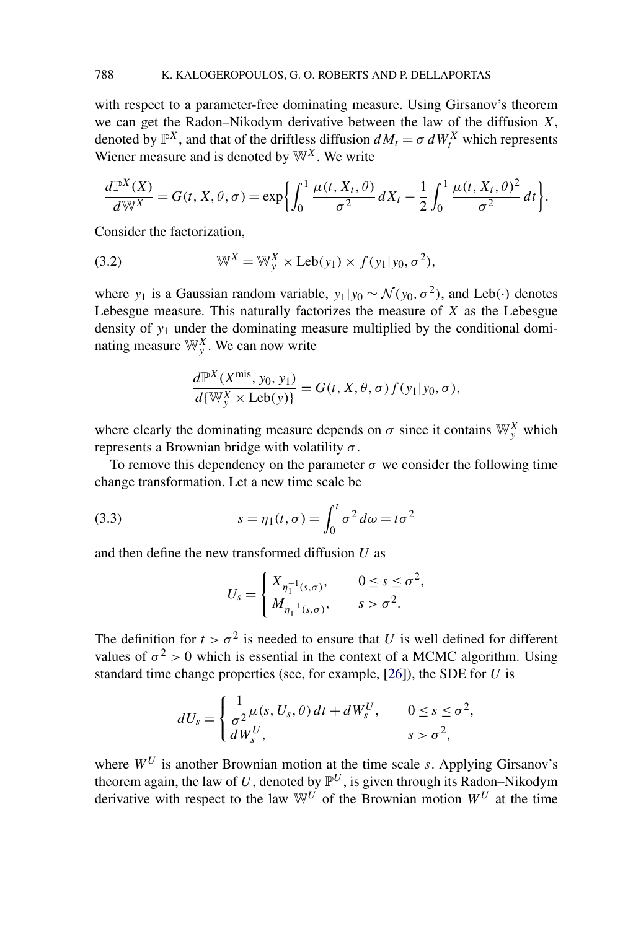<span id="page-4-0"></span>with respect to a parameter-free dominating measure. Using Girsanov's theorem we can get the Radon–Nikodym derivative between the law of the diffusion *X*, denoted by  $\mathbb{P}^{X}$ , and that of the driftless diffusion  $dM_t = \sigma dW_t^X$  which represents Wiener measure and is denoted by  $\mathbb{W}^{X}$ . We write

$$
\frac{d\mathbb{P}^X(X)}{d\mathbb{W}^X}=G(t, X, \theta, \sigma)=\exp\biggl\{\int_0^1\frac{\mu(t, X_t, \theta)}{\sigma^2}dX_t-\frac{1}{2}\int_0^1\frac{\mu(t, X_t, \theta)^2}{\sigma^2}dt\biggr\}.
$$

Consider the factorization,

(3.2) 
$$
\mathbb{W}^X = \mathbb{W}_y^X \times \text{Leb}(y_1) \times f(y_1|y_0, \sigma^2),
$$

where *y*<sub>1</sub> is a Gaussian random variable,  $y_1|y_0 \sim \mathcal{N}(y_0, \sigma^2)$ , and Leb(·) denotes Lebesgue measure. This naturally factorizes the measure of *X* as the Lebesgue density of *y*<sup>1</sup> under the dominating measure multiplied by the conditional dominating measure  $\mathbb{W}_{y}^{X}$ . We can now write

$$
\frac{d\mathbb{P}^X(X^{\text{mis}}, y_0, y_1)}{d\{\mathbb{W}_y^X \times \text{Leb}(y)\}} = G(t, X, \theta, \sigma) f(y_1|y_0, \sigma),
$$

where clearly the dominating measure depends on  $\sigma$  since it contains  $\mathbb{W}_{y}^{X}$  which represents a Brownian bridge with volatility *σ* .

To remove this dependency on the parameter  $\sigma$  we consider the following time change transformation. Let a new time scale be

(3.3) 
$$
s = \eta_1(t, \sigma) = \int_0^t \sigma^2 d\omega = t\sigma^2
$$

and then define the new transformed diffusion *U* as

$$
U_s = \begin{cases} X_{\eta_1^{-1}(s,\sigma)}, & 0 \le s \le \sigma^2, \\ M_{\eta_1^{-1}(s,\sigma)}, & s > \sigma^2. \end{cases}
$$

The definition for  $t > \sigma^2$  is needed to ensure that *U* is well defined for different values of  $\sigma^2 > 0$  which is essential in the context of a MCMC algorithm. Using standard time change properties (see, for example, [\[26\]](#page-23-0)), the SDE for *U* is

$$
dU_s = \begin{cases} \frac{1}{\sigma^2} \mu(s, U_s, \theta) dt + dW_s^U, & 0 \le s \le \sigma^2, \\ dW_s^U, & s > \sigma^2, \end{cases}
$$

where  $W^U$  is another Brownian motion at the time scale *s*. Applying Girsanov's theorem again, the law of *U*, denoted by  $\mathbb{P}^U$ , is given through its Radon–Nikodym derivative with respect to the law  $\mathbb{W}^U$  of the Brownian motion  $W^U$  at the time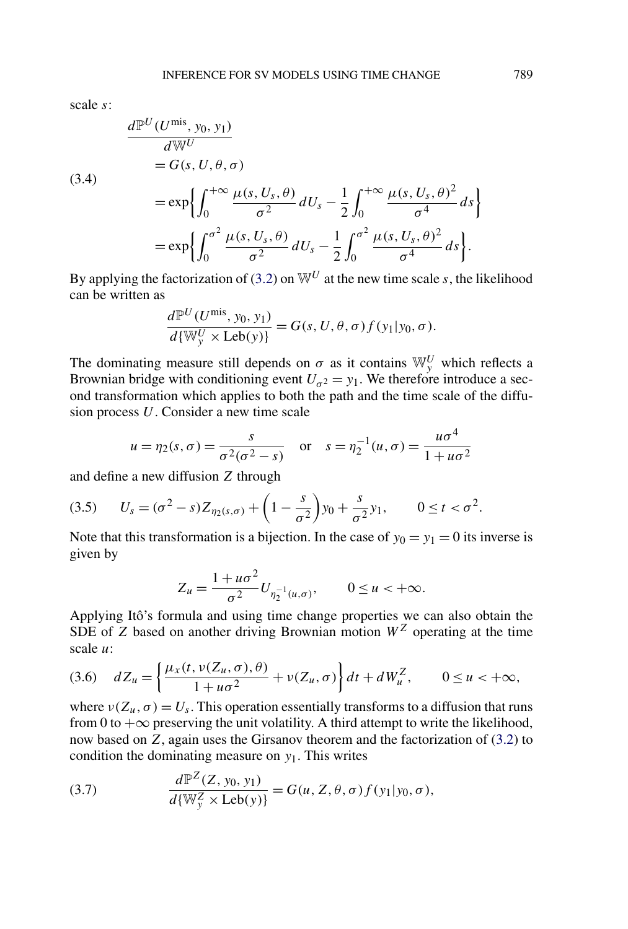<span id="page-5-0"></span>scale *s*:

(3.4)  
\n
$$
\frac{d\mathbb{P}^U(U^{\text{mis}}, y_0, y_1)}{d\mathbb{W}^U}
$$
\n
$$
= G(s, U, \theta, \sigma)
$$
\n
$$
= \exp\left\{\int_0^{+\infty} \frac{\mu(s, U_s, \theta)}{\sigma^2} dU_s - \frac{1}{2} \int_0^{+\infty} \frac{\mu(s, U_s, \theta)^2}{\sigma^4} ds\right\}
$$
\n
$$
= \exp\left\{\int_0^{\sigma^2} \frac{\mu(s, U_s, \theta)}{\sigma^2} dU_s - \frac{1}{2} \int_0^{\sigma^2} \frac{\mu(s, U_s, \theta)^2}{\sigma^4} ds\right\}.
$$

By applying the factorization of [\(3.2\)](#page-4-0) on  $\mathbb{W}^U$  at the new time scale *s*, the likelihood can be written as

$$
\frac{d\mathbb{P}^U(U^{\text{mis}}, y_0, y_1)}{d\{\mathbb{W}_y^U \times \text{Leb}(y)\}} = G(s, U, \theta, \sigma) f(y_1|y_0, \sigma).
$$

The dominating measure still depends on  $\sigma$  as it contains  $\mathbb{W}_{y}^{U}$  which reflects a Brownian bridge with conditioning event  $U_{\sigma^2} = y_1$ . We therefore introduce a second transformation which applies to both the path and the time scale of the diffusion process *U*. Consider a new time scale

$$
u = \eta_2(s, \sigma) = \frac{s}{\sigma^2(\sigma^2 - s)}
$$
 or  $s = \eta_2^{-1}(u, \sigma) = \frac{u\sigma^4}{1 + u\sigma^2}$ 

and define a new diffusion *Z* through

$$
(3.5) \tU_s = (\sigma^2 - s)Z_{\eta_2(s,\sigma)} + \left(1 - \frac{s}{\sigma^2}\right)y_0 + \frac{s}{\sigma^2}y_1, \t0 \le t < \sigma^2.
$$

Note that this transformation is a bijection. In the case of  $y_0 = y_1 = 0$  its inverse is given by

$$
Z_u = \frac{1 + u\sigma^2}{\sigma^2} U_{\eta_2^{-1}(u,\sigma)}, \qquad 0 \le u < +\infty.
$$

Applying Itô's formula and using time change properties we can also obtain the SDE of *Z* based on another driving Brownian motion  $W^Z$  operating at the time scale *u*:

$$
(3.6) \quad dZ_u = \left\{ \frac{\mu_x(t, v(Z_u, \sigma), \theta)}{1 + u\sigma^2} + v(Z_u, \sigma) \right\} dt + dW_u^Z, \qquad 0 \le u < +\infty,
$$

where  $v(Z_u, \sigma) = U_s$ . This operation essentially transforms to a diffusion that runs from 0 to  $+\infty$  preserving the unit volatility. A third attempt to write the likelihood, now based on *Z*, again uses the Girsanov theorem and the factorization of [\(3.2\)](#page-4-0) to condition the dominating measure on *y*1. This writes

(3.7) 
$$
\frac{d\mathbb{P}^{Z}(Z, y_0, y_1)}{d\{\mathbb{W}_y^{Z} \times \text{Leb}(y)\}} = G(u, Z, \theta, \sigma) f(y_1|y_0, \sigma),
$$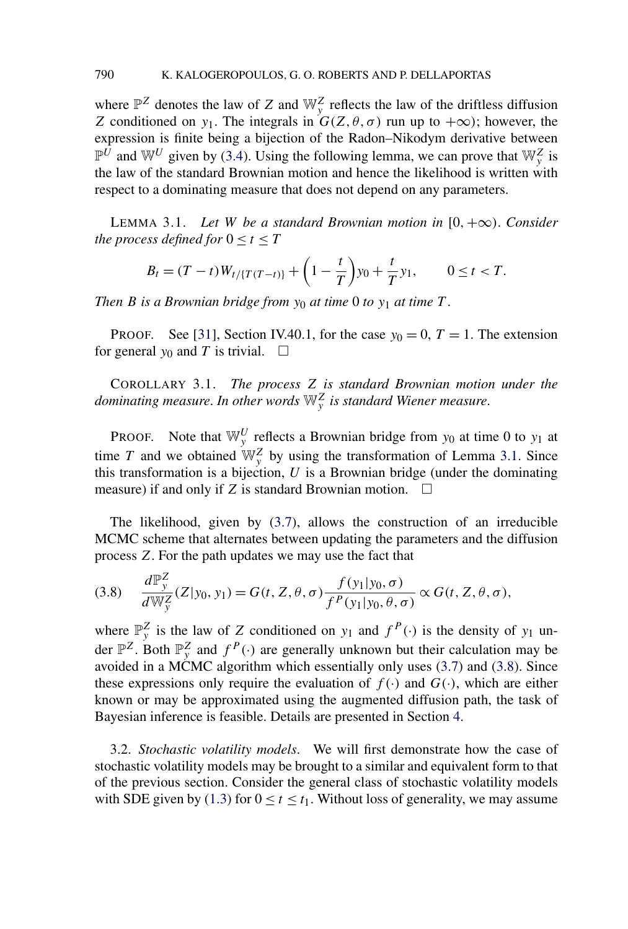<span id="page-6-0"></span>where  $\mathbb{P}^Z$  denotes the law of *Z* and  $\mathbb{W}^Z$  reflects the law of the driftless diffusion *Z* conditioned on *y*<sub>1</sub>. The integrals in  $G(Z, \theta, \sigma)$  run up to  $+\infty$ ; however, the expression is finite being a bijection of the Radon–Nikodym derivative between  $\mathbb{P}^U$  and  $\mathbb{W}^U$  given by [\(3.4\)](#page-5-0). Using the following lemma, we can prove that  $\mathbb{W}^Z_y$  is the law of the standard Brownian motion and hence the likelihood is written with respect to a dominating measure that does not depend on any parameters.

LEMMA 3.1. *Let W be a standard Brownian motion in*  $[0, +\infty)$ *. Consider the process defined for*  $0 \le t \le T$ 

$$
B_t = (T-t)W_{t/\{T(T-t)\}} + \left(1 - \frac{t}{T}\right)y_0 + \frac{t}{T}y_1, \qquad 0 \le t < T.
$$

*Then B is a Brownian bridge from*  $y_0$  *at time* 0 *to*  $y_1$  *at time T*.

**PROOF.** See [\[31\]](#page-23-0), Section IV.40.1, for the case  $y_0 = 0$ ,  $T = 1$ . The extension for general  $y_0$  and *T* is trivial.  $\Box$ 

COROLLARY 3.1. *The process Z is standard Brownian motion under the dominating measure*. *In other words* W*<sup>Z</sup> <sup>y</sup> is standard Wiener measure*.

PROOF. Note that  $\mathbb{W}_{y}^{U}$  reflects a Brownian bridge from  $y_0$  at time 0 to  $y_1$  at time *T* and we obtained  $\mathbb{W}_{\mathcal{Y}}^Z$  by using the transformation of Lemma 3.1. Since this transformation is a bijection, *U* is a Brownian bridge (under the dominating measure) if and only if *Z* is standard Brownian motion.  $\Box$ 

The likelihood, given by [\(3.7\)](#page-5-0), allows the construction of an irreducible MCMC scheme that alternates between updating the parameters and the diffusion process *Z*. For the path updates we may use the fact that

$$
(3.8) \quad \frac{d\mathbb{P}_{y}^{Z}}{d\mathbb{W}_{y}^{Z}}(Z|y_{0},y_{1})=G(t,Z,\theta,\sigma)\frac{f(y_{1}|y_{0},\sigma)}{f^{P}(y_{1}|y_{0},\theta,\sigma)}\propto G(t,Z,\theta,\sigma),
$$

where  $\mathbb{P}_{y}^{Z}$  is the law of *Z* conditioned on  $y_{1}$  and  $f^{P}(\cdot)$  is the density of  $y_{1}$  under  $\mathbb{P}^Z$ . Both  $\mathbb{P}^Z$  and  $f^P(\cdot)$  are generally unknown but their calculation may be avoided in a MCMC algorithm which essentially only uses  $(3.7)$  and  $(3.8)$ . Since these expressions only require the evaluation of  $f(\cdot)$  and  $G(\cdot)$ , which are either known or may be approximated using the augmented diffusion path, the task of Bayesian inference is feasible. Details are presented in Section [4.](#page-10-0)

3.2. *Stochastic volatility models*. We will first demonstrate how the case of stochastic volatility models may be brought to a similar and equivalent form to that of the previous section. Consider the general class of stochastic volatility models with SDE given by [\(1.3\)](#page-1-0) for  $0 \le t \le t_1$ . Without loss of generality, we may assume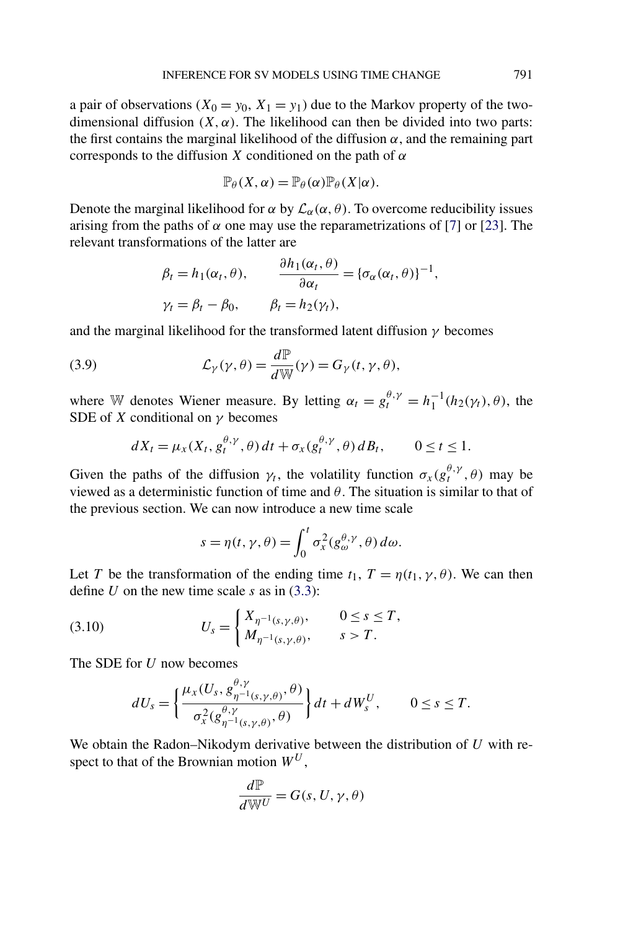<span id="page-7-0"></span>a pair of observations  $(X_0 = y_0, X_1 = y_1)$  due to the Markov property of the twodimensional diffusion  $(X, \alpha)$ . The likelihood can then be divided into two parts: the first contains the marginal likelihood of the diffusion  $\alpha$ , and the remaining part corresponds to the diffusion *X* conditioned on the path of *α*

$$
\mathbb{P}_{\theta}(X,\alpha)=\mathbb{P}_{\theta}(\alpha)\mathbb{P}_{\theta}(X|\alpha).
$$

Denote the marginal likelihood for  $\alpha$  by  $\mathcal{L}_{\alpha}(\alpha, \theta)$ . To overcome reducibility issues arising from the paths of  $\alpha$  one may use the reparametrizations of [\[7\]](#page-22-0) or [\[23\]](#page-22-0). The relevant transformations of the latter are

$$
\beta_t = h_1(\alpha_t, \theta), \qquad \frac{\partial h_1(\alpha_t, \theta)}{\partial \alpha_t} = {\{\sigma_\alpha(\alpha_t, \theta)\}}^{-1},
$$
  

$$
\gamma_t = \beta_t - \beta_0, \qquad \beta_t = h_2(\gamma_t),
$$

and the marginal likelihood for the transformed latent diffusion *γ* becomes

(3.9) 
$$
\mathcal{L}_{\gamma}(\gamma,\theta) = \frac{d\mathbb{P}}{d\mathbb{W}}(\gamma) = G_{\gamma}(t,\gamma,\theta),
$$

where W denotes Wiener measure. By letting  $\alpha_t = g_t^{\theta,\gamma} = h_1^{-1}(h_2(\gamma_t), \theta)$ , the SDE of *X* conditional on *γ* becomes

$$
dX_t = \mu_X(X_t, g_t^{\theta,\gamma}, \theta) dt + \sigma_X(g_t^{\theta,\gamma}, \theta) dB_t, \qquad 0 \le t \le 1.
$$

Given the paths of the diffusion  $\gamma_t$ , the volatility function  $\sigma_x(g_t^{\theta,\gamma}, \theta)$  may be viewed as a deterministic function of time and *θ*. The situation is similar to that of the previous section. We can now introduce a new time scale

$$
s = \eta(t, \gamma, \theta) = \int_0^t \sigma_x^2(g_{\omega}^{\theta, \gamma}, \theta) d\omega.
$$

Let *T* be the transformation of the ending time  $t_1$ ,  $T = \eta(t_1, \gamma, \theta)$ . We can then define *U* on the new time scale *s* as in [\(3.3\)](#page-4-0):

(3.10) 
$$
U_s = \begin{cases} X_{\eta^{-1}(s,\gamma,\theta)}, & 0 \le s \le T, \\ M_{\eta^{-1}(s,\gamma,\theta)}, & s > T. \end{cases}
$$

The SDE for *U* now becomes

$$
dU_s = \left\{ \frac{\mu_x(U_s, g_{\eta^{-1}(s,\gamma,\theta)}^{\theta,\gamma}, \theta)}{\sigma_x^2(g_{\eta^{-1}(s,\gamma,\theta)}^{\theta,\gamma}, \theta)} \right\} dt + dW_s^U, \qquad 0 \le s \le T.
$$

We obtain the Radon–Nikodym derivative between the distribution of *U* with respect to that of the Brownian motion *W<sup>U</sup>* ,

$$
\frac{d\mathbb{P}}{d\mathbb{W}^U} = G(s, U, \gamma, \theta)
$$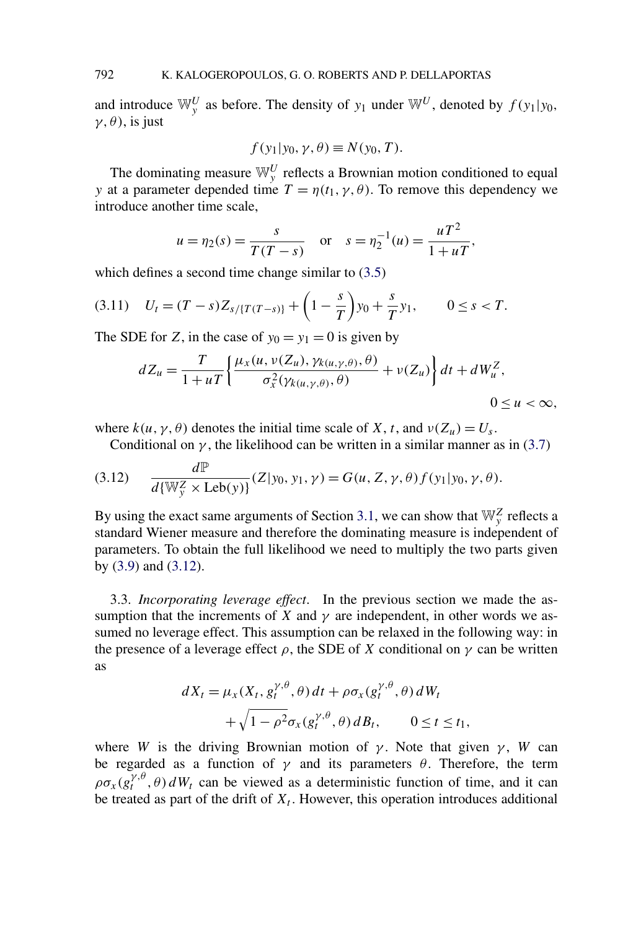<span id="page-8-0"></span>and introduce  $\mathbb{W}_{y}^{U}$  as before. The density of  $y_1$  under  $\mathbb{W}^{U}$ , denoted by  $f(y_1|y_0,$ *γ,θ)*, is just

$$
f(y_1|y_0, \gamma, \theta) \equiv N(y_0, T).
$$

The dominating measure  $\mathbb{W}_{y}^{U}$  reflects a Brownian motion conditioned to equal *y* at a parameter depended time  $T = \eta(t_1, \gamma, \theta)$ . To remove this dependency we introduce another time scale,

$$
u = \eta_2(s) = \frac{s}{T(T - s)}
$$
 or  $s = \eta_2^{-1}(u) = \frac{uT^2}{1 + uT}$ ,

which defines a second time change similar to  $(3.5)$ 

$$
(3.11) \quad U_t = (T - s)Z_{s/\{T(T - s)\}} + \left(1 - \frac{s}{T}\right)y_0 + \frac{s}{T}y_1, \qquad 0 \le s < T.
$$

The SDE for *Z*, in the case of  $y_0 = y_1 = 0$  is given by

$$
dZ_u = \frac{T}{1+uT} \left\{ \frac{\mu_x(u, v(Z_u), \gamma_{k(u,\gamma,\theta)}, \theta)}{\sigma_x^2(\gamma_{k(u,\gamma,\theta)}, \theta)} + v(Z_u) \right\} dt + dW_u^Z,
$$

 $0 \le u < \infty$ ,

where  $k(u, \gamma, \theta)$  denotes the initial time scale of *X*, *t*, and  $\nu(Z_u) = U_s$ .

Conditional on  $\gamma$ , the likelihood can be written in a similar manner as in [\(3.7\)](#page-5-0)

(3.12) 
$$
\frac{d\mathbb{P}}{d\{\mathbb{W}_{\mathcal{Y}}^Z \times \text{Leb}(y)\}} (Z|y_0, y_1, \gamma) = G(u, Z, \gamma, \theta) f(y_1|y_0, \gamma, \theta).
$$

By using the exact same arguments of Section [3.1,](#page-3-0) we can show that  $\mathbb{W}_{y}^{Z}$  reflects a standard Wiener measure and therefore the dominating measure is independent of parameters. To obtain the full likelihood we need to multiply the two parts given by [\(3.9\)](#page-7-0) and (3.12).

3.3. *Incorporating leverage effect*. In the previous section we made the assumption that the increments of *X* and  $\gamma$  are independent, in other words we assumed no leverage effect. This assumption can be relaxed in the following way: in the presence of a leverage effect  $\rho$ , the SDE of *X* conditional on  $\gamma$  can be written as

$$
dX_t = \mu_X(X_t, g_t^{\gamma, \theta}, \theta) dt + \rho \sigma_X(g_t^{\gamma, \theta}, \theta) dW_t
$$
  
+ 
$$
\sqrt{1 - \rho^2} \sigma_X(g_t^{\gamma, \theta}, \theta) dB_t, \qquad 0 \le t \le t_1,
$$

where *W* is the driving Brownian motion of  $\gamma$ . Note that given  $\gamma$ , *W* can be regarded as a function of  $\gamma$  and its parameters  $\theta$ . Therefore, the term  $\rho \sigma_x(g_t^{\gamma,\theta}, \theta) dW_t$  can be viewed as a deterministic function of time, and it can be treated as part of the drift of  $X_t$ . However, this operation introduces additional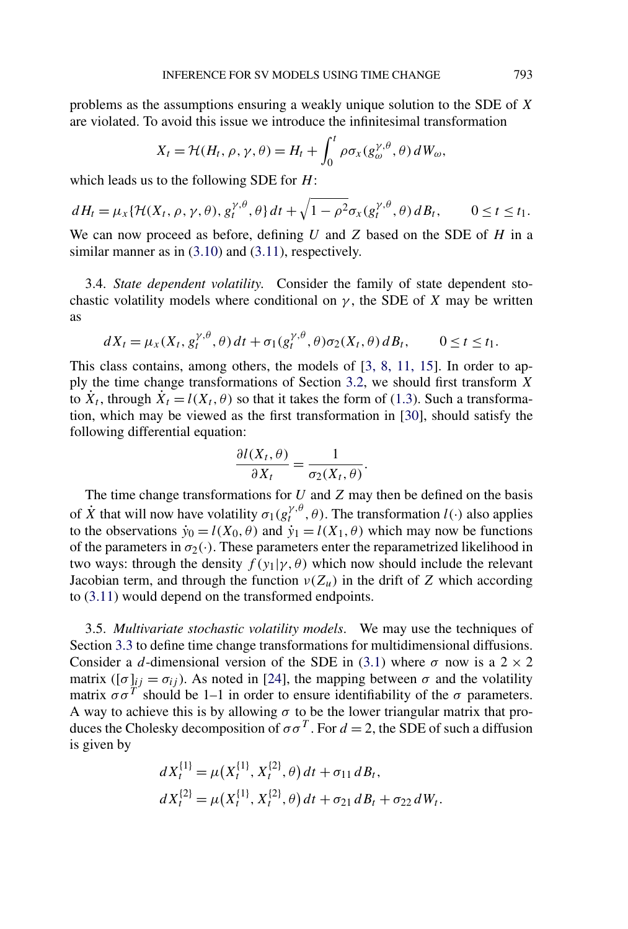problems as the assumptions ensuring a weakly unique solution to the SDE of *X* are violated. To avoid this issue we introduce the infinitesimal transformation

$$
X_t = \mathcal{H}(H_t, \rho, \gamma, \theta) = H_t + \int_0^t \rho \sigma_x(g_{\omega}^{\gamma, \theta}, \theta) dW_{\omega},
$$

which leads us to the following SDE for *H*:

$$
dH_t = \mu_X\{\mathcal{H}(X_t,\rho,\gamma,\theta),g_t^{\gamma,\theta},\theta\}dt + \sqrt{1-\rho^2}\sigma_X(g_t^{\gamma,\theta},\theta)dB_t, \qquad 0 \le t \le t_1.
$$

We can now proceed as before, defining *U* and *Z* based on the SDE of *H* in a similar manner as in  $(3.10)$  and  $(3.11)$ , respectively.

3.4. *State dependent volatility*. Consider the family of state dependent stochastic volatility models where conditional on  $\gamma$ , the SDE of *X* may be written as

$$
dX_t = \mu_X(X_t, g_t^{\gamma,\theta}, \theta) dt + \sigma_1(g_t^{\gamma,\theta}, \theta) \sigma_2(X_t, \theta) dB_t, \qquad 0 \le t \le t_1.
$$

This class contains, among others, the models of [\[3, 8, 11, 15\]](#page-22-0). In order to apply the time change transformations of Section [3.2,](#page-6-0) we should first transform *X* to  $\dot{X}_t$ , through  $\dot{X}_t = l(X_t, \theta)$  so that it takes the form of [\(1.3\)](#page-1-0). Such a transformation, which may be viewed as the first transformation in [\[30\]](#page-23-0), should satisfy the following differential equation:

$$
\frac{\partial l(X_t, \theta)}{\partial X_t} = \frac{1}{\sigma_2(X_t, \theta)}.
$$

The time change transformations for *U* and *Z* may then be defined on the basis of  $\dot{X}$  that will now have volatility  $\sigma_1(g_t^{\gamma,\theta}, \theta)$ . The transformation  $l(\cdot)$  also applies to the observations  $\dot{y}_0 = l(X_0, \theta)$  and  $\dot{y}_1 = l(X_1, \theta)$  which may now be functions of the parameters in  $\sigma_2(\cdot)$ . These parameters enter the reparametrized likelihood in two ways: through the density  $f(y_1|\gamma, \theta)$  which now should include the relevant Jacobian term, and through the function  $\nu(Z_u)$  in the drift of *Z* which according to [\(3.11\)](#page-8-0) would depend on the transformed endpoints.

3.5. *Multivariate stochastic volatility models*. We may use the techniques of Section [3.3](#page-8-0) to define time change transformations for multidimensional diffusions. Consider a *d*-dimensional version of the SDE in [\(3.1\)](#page-3-0) where  $\sigma$  now is a 2  $\times$  2 matrix ([ $\sigma$ ]<sub>ij</sub> =  $\sigma$ <sub>ij</sub>). As noted in [\[24\]](#page-22-0), the mapping between  $\sigma$  and the volatility matrix  $\sigma \sigma^T$  should be 1–1 in order to ensure identifiability of the  $\sigma$  parameters. A way to achieve this is by allowing  $\sigma$  to be the lower triangular matrix that produces the Cholesky decomposition of  $\sigma \sigma^T$ . For  $d = 2$ , the SDE of such a diffusion is given by

$$
dX_t^{\{1\}} = \mu(X_t^{\{1\}}, X_t^{\{2\}}, \theta) dt + \sigma_{11} dB_t,
$$
  

$$
dX_t^{\{2\}} = \mu(X_t^{\{1\}}, X_t^{\{2\}}, \theta) dt + \sigma_{21} dB_t + \sigma_{22} dW_t.
$$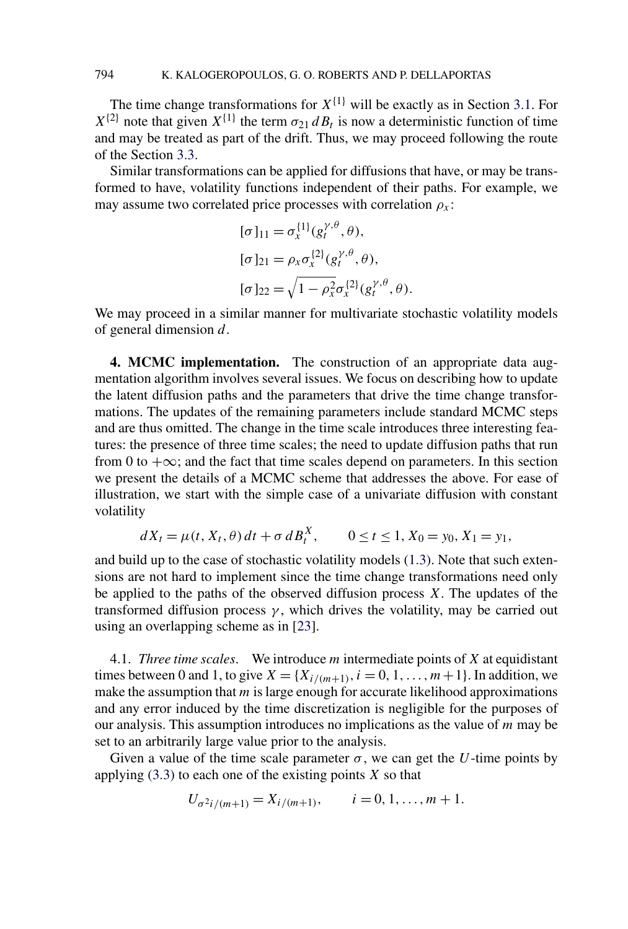<span id="page-10-0"></span>The time change transformations for  $X^{\{1\}}$  will be exactly as in Section [3.1.](#page-3-0) For  $X^{\{2\}}$  note that given  $X^{\{1\}}$  the term  $\sigma_{21} dB_t$  is now a deterministic function of time and may be treated as part of the drift. Thus, we may proceed following the route of the Section [3.3.](#page-8-0)

Similar transformations can be applied for diffusions that have, or may be transformed to have, volatility functions independent of their paths. For example, we may assume two correlated price processes with correlation  $\rho_x$ :

$$
[\sigma]_{11} = \sigma_x^{\{1\}}(g_t^{\gamma,\theta}, \theta),
$$
  
\n
$$
[\sigma]_{21} = \rho_x \sigma_x^{\{2\}}(g_t^{\gamma,\theta}, \theta),
$$
  
\n
$$
[\sigma]_{22} = \sqrt{1 - \rho_x^2} \sigma_x^{\{2\}}(g_t^{\gamma,\theta}, \theta).
$$

We may proceed in a similar manner for multivariate stochastic volatility models of general dimension *d*.

**4. MCMC implementation.** The construction of an appropriate data augmentation algorithm involves several issues. We focus on describing how to update the latent diffusion paths and the parameters that drive the time change transformations. The updates of the remaining parameters include standard MCMC steps and are thus omitted. The change in the time scale introduces three interesting features: the presence of three time scales; the need to update diffusion paths that run from 0 to  $+\infty$ ; and the fact that time scales depend on parameters. In this section we present the details of a MCMC scheme that addresses the above. For ease of illustration, we start with the simple case of a univariate diffusion with constant volatility

$$
dX_t = \mu(t, X_t, \theta) dt + \sigma dB_t^X, \qquad 0 \le t \le 1, X_0 = y_0, X_1 = y_1,
$$

and build up to the case of stochastic volatility models [\(1.3\)](#page-1-0). Note that such extensions are not hard to implement since the time change transformations need only be applied to the paths of the observed diffusion process *X*. The updates of the transformed diffusion process  $\gamma$ , which drives the volatility, may be carried out using an overlapping scheme as in [\[23\]](#page-22-0).

4.1. *Three time scales*. We introduce *m* intermediate points of *X* at equidistant times between 0 and 1, to give  $X = \{X_{i/(m+1)}, i = 0, 1, ..., m+1\}$ . In addition, we make the assumption that *m* is large enough for accurate likelihood approximations and any error induced by the time discretization is negligible for the purposes of our analysis. This assumption introduces no implications as the value of *m* may be set to an arbitrarily large value prior to the analysis.

Given a value of the time scale parameter  $\sigma$ , we can get the *U*-time points by applying [\(3.3\)](#page-4-0) to each one of the existing points *X* so that

$$
U_{\sigma^2 i/(m+1)} = X_{i/(m+1)}, \qquad i = 0, 1, \dots, m+1.
$$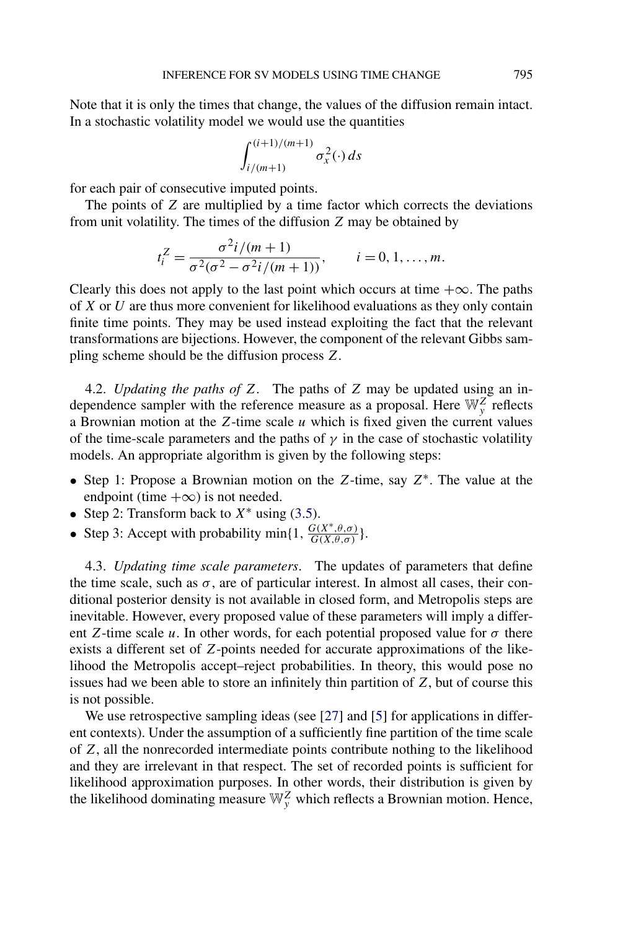Note that it is only the times that change, the values of the diffusion remain intact. In a stochastic volatility model we would use the quantities

$$
\int_{i/(m+1)}^{(i+1)/(m+1)} \sigma_x^2(\cdot) ds
$$

for each pair of consecutive imputed points.

The points of *Z* are multiplied by a time factor which corrects the deviations from unit volatility. The times of the diffusion *Z* may be obtained by

$$
t_i^Z = \frac{\sigma^2 i / (m+1)}{\sigma^2 (\sigma^2 - \sigma^2 i / (m+1))}, \qquad i = 0, 1, ..., m.
$$

Clearly this does not apply to the last point which occurs at time  $+\infty$ . The paths of *X* or *U* are thus more convenient for likelihood evaluations as they only contain finite time points. They may be used instead exploiting the fact that the relevant transformations are bijections. However, the component of the relevant Gibbs sampling scheme should be the diffusion process *Z*.

4.2. *Updating the paths of Z*. The paths of *Z* may be updated using an independence sampler with the reference measure as a proposal. Here  $\mathbb{W}_{y}^{Z}$  reflects a Brownian motion at the *Z*-time scale *u* which is fixed given the current values of the time-scale parameters and the paths of  $\gamma$  in the case of stochastic volatility models. An appropriate algorithm is given by the following steps:

- Step 1: Propose a Brownian motion on the *Z*-time, say *Z*∗. The value at the endpoint (time  $+\infty$ ) is not needed.
- Step 2: Transform back to  $X^*$  using [\(3.5\)](#page-5-0).
- Step 3: Accept with probability min{1,  $\frac{G(X^*, \theta, \sigma)}{G(X, \theta, \sigma)}$ }.

4.3. *Updating time scale parameters*. The updates of parameters that define the time scale, such as  $\sigma$ , are of particular interest. In almost all cases, their conditional posterior density is not available in closed form, and Metropolis steps are inevitable. However, every proposed value of these parameters will imply a different *Z*-time scale *u*. In other words, for each potential proposed value for  $\sigma$  there exists a different set of *Z*-points needed for accurate approximations of the likelihood the Metropolis accept–reject probabilities. In theory, this would pose no issues had we been able to store an infinitely thin partition of *Z*, but of course this is not possible.

We use retrospective sampling ideas (see [\[27\]](#page-23-0) and [\[5\]](#page-22-0) for applications in different contexts). Under the assumption of a sufficiently fine partition of the time scale of *Z*, all the nonrecorded intermediate points contribute nothing to the likelihood and they are irrelevant in that respect. The set of recorded points is sufficient for likelihood approximation purposes. In other words, their distribution is given by the likelihood dominating measure  $\mathbb{W}_y^Z$  which reflects a Brownian motion. Hence,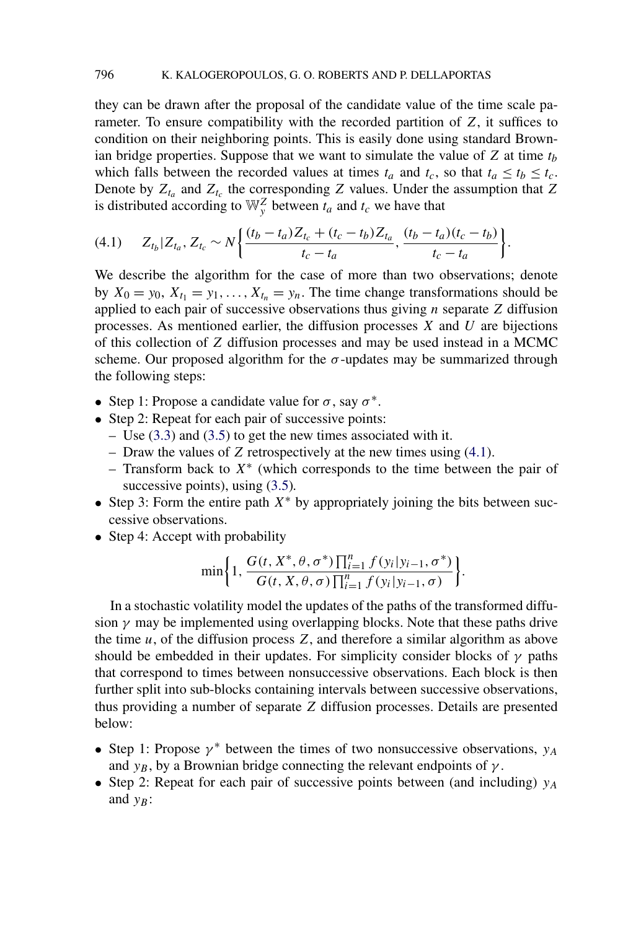<span id="page-12-0"></span>they can be drawn after the proposal of the candidate value of the time scale parameter. To ensure compatibility with the recorded partition of *Z*, it suffices to condition on their neighboring points. This is easily done using standard Brownian bridge properties. Suppose that we want to simulate the value of  $Z$  at time  $t_b$ which falls between the recorded values at times  $t_a$  and  $t_c$ , so that  $t_a \le t_b \le t_c$ . Denote by  $Z_{t_a}$  and  $Z_{t_c}$  the corresponding *Z* values. Under the assumption that *Z* is distributed according to  $\mathbb{W}_y^Z$  between  $t_a$  and  $t_c$  we have that

$$
(4.1) \t Z_{t_b} | Z_{t_a}, Z_{t_c} \sim N \bigg\{ \frac{(t_b - t_a)Z_{t_c} + (t_c - t_b)Z_{t_a}}{t_c - t_a}, \frac{(t_b - t_a)(t_c - t_b)}{t_c - t_a} \bigg\}.
$$

We describe the algorithm for the case of more than two observations; denote by  $X_0 = y_0, X_{t_1} = y_1, \ldots, X_{t_n} = y_n$ . The time change transformations should be applied to each pair of successive observations thus giving *n* separate *Z* diffusion processes. As mentioned earlier, the diffusion processes *X* and *U* are bijections of this collection of *Z* diffusion processes and may be used instead in a MCMC scheme. Our proposed algorithm for the  $\sigma$ -updates may be summarized through the following steps:

- Step 1: Propose a candidate value for  $\sigma$ , say  $\sigma^*$ .
- Step 2: Repeat for each pair of successive points:
	- Use [\(3.3\)](#page-4-0) and [\(3.5\)](#page-5-0) to get the new times associated with it.
	- Draw the values of *Z* retrospectively at the new times using (4.1).
	- Transform back to *X*<sup>∗</sup> (which corresponds to the time between the pair of successive points), using  $(3.5)$ .
- Step 3: Form the entire path *X*<sup>∗</sup> by appropriately joining the bits between successive observations.
- Step 4: Accept with probability

$$
\min \bigg\{1, \frac{G(t, X^*, \theta, \sigma^*) \prod_{i=1}^n f(y_i | y_{i-1}, \sigma^*)}{G(t, X, \theta, \sigma) \prod_{i=1}^n f(y_i | y_{i-1}, \sigma)}\bigg\}.
$$

In a stochastic volatility model the updates of the paths of the transformed diffusion  $\gamma$  may be implemented using overlapping blocks. Note that these paths drive the time *u*, of the diffusion process *Z*, and therefore a similar algorithm as above should be embedded in their updates. For simplicity consider blocks of  $\gamma$  paths that correspond to times between nonsuccessive observations. Each block is then further split into sub-blocks containing intervals between successive observations, thus providing a number of separate *Z* diffusion processes. Details are presented below:

- Step 1: Propose  $\gamma^*$  between the times of two nonsuccessive observations,  $y_A$ and  $y_B$ , by a Brownian bridge connecting the relevant endpoints of  $\gamma$ .
- Step 2: Repeat for each pair of successive points between (and including)  $y_A$ and  $y_B$ :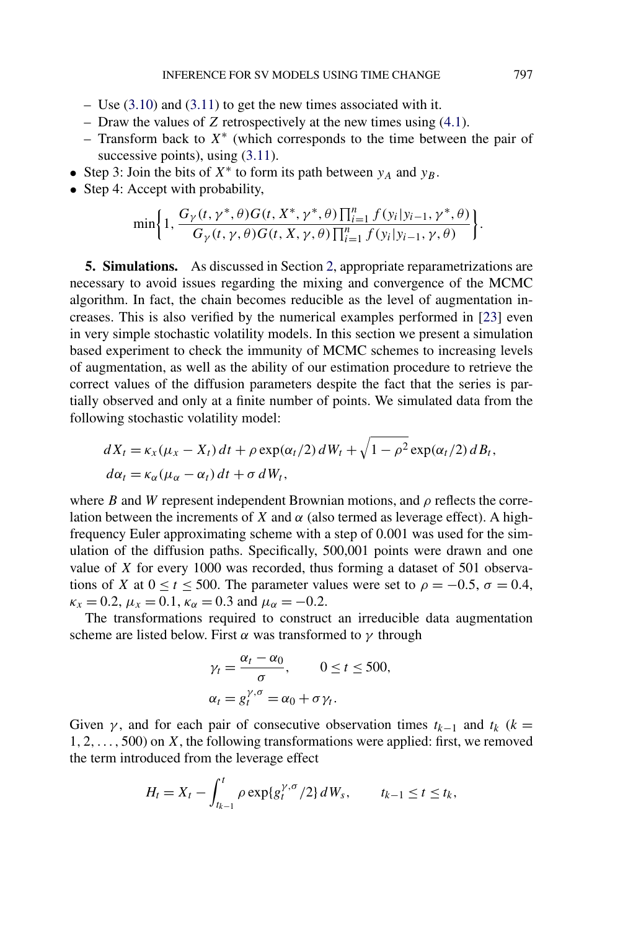- <span id="page-13-0"></span>– Use [\(3.10\)](#page-7-0) and [\(3.11\)](#page-8-0) to get the new times associated with it.
- Draw the values of *Z* retrospectively at the new times using [\(4.1\)](#page-12-0).
- Transform back to *X*<sup>∗</sup> (which corresponds to the time between the pair of successive points), using  $(3.11)$ .
- Step 3: Join the bits of *X*<sup>∗</sup> to form its path between *yA* and *yB*.
- Step 4: Accept with probability,

$$
\min\bigg\{1,\frac{G_{\gamma}(t,\gamma^*,\theta)G(t,X^*,\gamma^*,\theta)\prod_{i=1}^n f(y_i|y_{i-1},\gamma^*,\theta)}{G_{\gamma}(t,\gamma,\theta)G(t,X,\gamma,\theta)\prod_{i=1}^n f(y_i|y_{i-1},\gamma,\theta)}\bigg\}.
$$

**5. Simulations.** As discussed in Section [2,](#page-2-0) appropriate reparametrizations are necessary to avoid issues regarding the mixing and convergence of the MCMC algorithm. In fact, the chain becomes reducible as the level of augmentation increases. This is also verified by the numerical examples performed in [\[23\]](#page-22-0) even in very simple stochastic volatility models. In this section we present a simulation based experiment to check the immunity of MCMC schemes to increasing levels of augmentation, as well as the ability of our estimation procedure to retrieve the correct values of the diffusion parameters despite the fact that the series is partially observed and only at a finite number of points. We simulated data from the following stochastic volatility model:

$$
dX_t = \kappa_x (\mu_x - X_t) dt + \rho \exp(\alpha_t/2) dW_t + \sqrt{1 - \rho^2} \exp(\alpha_t/2) dB_t,
$$
  

$$
d\alpha_t = \kappa_\alpha (\mu_\alpha - \alpha_t) dt + \sigma dW_t,
$$

where *B* and *W* represent independent Brownian motions, and  $\rho$  reflects the correlation between the increments of *X* and  $\alpha$  (also termed as leverage effect). A highfrequency Euler approximating scheme with a step of 0*.*001 was used for the simulation of the diffusion paths. Specifically, 500,001 points were drawn and one value of *X* for every 1000 was recorded, thus forming a dataset of 501 observations of *X* at  $0 \le t \le 500$ . The parameter values were set to  $\rho = -0.5$ ,  $\sigma = 0.4$ ,  $\kappa_x = 0.2$ ,  $\mu_x = 0.1$ ,  $\kappa_\alpha = 0.3$  and  $\mu_\alpha = -0.2$ .

The transformations required to construct an irreducible data augmentation scheme are listed below. First  $\alpha$  was transformed to  $\gamma$  through

$$
\gamma_t = \frac{\alpha_t - \alpha_0}{\sigma}, \qquad 0 \le t \le 500,
$$
  

$$
\alpha_t = g_t^{\gamma, \sigma} = \alpha_0 + \sigma \gamma_t.
$$

Given  $\gamma$ , and for each pair of consecutive observation times  $t_{k-1}$  and  $t_k$  ( $k =$ 1*,* 2*,...,* 500) on *X*, the following transformations were applied: first, we removed the term introduced from the leverage effect

$$
H_t = X_t - \int_{t_{k-1}}^t \rho \exp\{g_t^{\gamma,\sigma}/2\} dW_s, \qquad t_{k-1} \le t \le t_k,
$$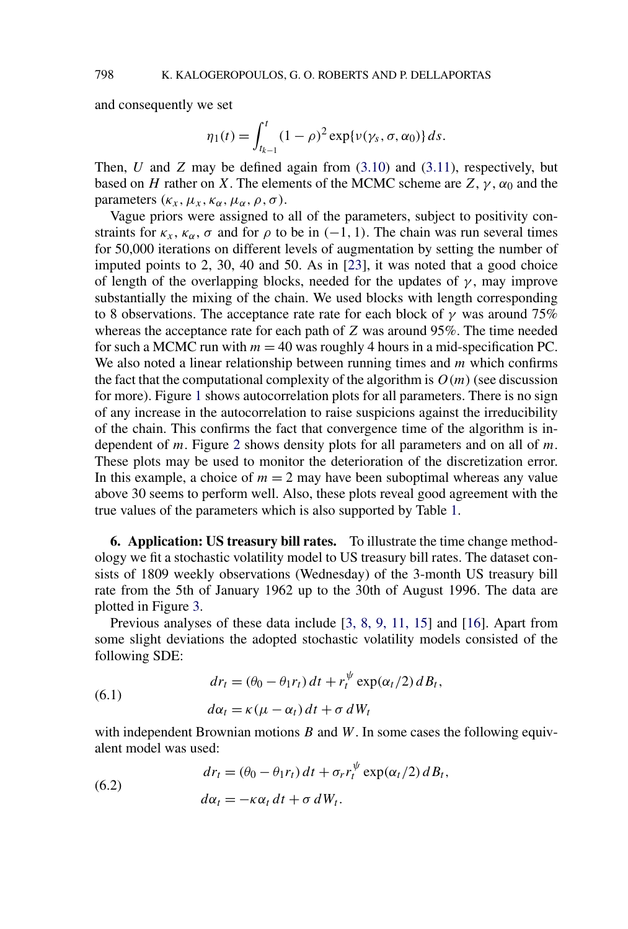<span id="page-14-0"></span>and consequently we set

$$
\eta_1(t) = \int_{t_{k-1}}^t (1-\rho)^2 \exp{\nu(\gamma_s, \sigma, \alpha_0)} ds.
$$

Then, *U* and *Z* may be defined again from [\(3.10\)](#page-7-0) and [\(3.11\)](#page-8-0), respectively, but based on *H* rather on *X*. The elements of the MCMC scheme are  $Z$ ,  $\gamma$ ,  $\alpha_0$  and the parameters  $(\kappa_x, \mu_x, \kappa_\alpha, \mu_\alpha, \rho, \sigma)$ .

Vague priors were assigned to all of the parameters, subject to positivity constraints for  $\kappa_x$ ,  $\kappa_\alpha$ ,  $\sigma$  and for  $\rho$  to be in (-1, 1). The chain was run several times for 50,000 iterations on different levels of augmentation by setting the number of imputed points to 2, 30, 40 and 50. As in [\[23\]](#page-22-0), it was noted that a good choice of length of the overlapping blocks, needed for the updates of  $\gamma$ , may improve substantially the mixing of the chain. We used blocks with length corresponding to 8 observations. The acceptance rate rate for each block of  $\gamma$  was around 75% whereas the acceptance rate for each path of *Z* was around 95%. The time needed for such a MCMC run with  $m = 40$  was roughly 4 hours in a mid-specification PC. We also noted a linear relationship between running times and *m* which confirms the fact that the computational complexity of the algorithm is  $O(m)$  (see discussion for more). Figure [1](#page-15-0) shows autocorrelation plots for all parameters. There is no sign of any increase in the autocorrelation to raise suspicions against the irreducibility of the chain. This confirms the fact that convergence time of the algorithm is independent of *m*. Figure [2](#page-16-0) shows density plots for all parameters and on all of *m*. These plots may be used to monitor the deterioration of the discretization error. In this example, a choice of  $m = 2$  may have been suboptimal whereas any value above 30 seems to perform well. Also, these plots reveal good agreement with the true values of the parameters which is also supported by Table [1.](#page-17-0)

**6. Application: US treasury bill rates.** To illustrate the time change methodology we fit a stochastic volatility model to US treasury bill rates. The dataset consists of 1809 weekly observations (Wednesday) of the 3-month US treasury bill rate from the 5th of January 1962 up to the 30th of August 1996. The data are plotted in Figure [3.](#page-18-0)

Previous analyses of these data include [\[3, 8, 9, 11, 15\]](#page-22-0) and [\[16\]](#page-22-0). Apart from some slight deviations the adopted stochastic volatility models consisted of the following SDE:

(6.1) 
$$
dr_t = (\theta_0 - \theta_1 r_t) dt + r_t^{\psi} \exp(\alpha_t/2) dB_t,
$$

$$
d\alpha_t = \kappa (\mu - \alpha_t) dt + \sigma dW_t
$$

with independent Brownian motions *B* and *W*. In some cases the following equivalent model was used:

(6.2) 
$$
dr_t = (\theta_0 - \theta_1 r_t) dt + \sigma_r r_t^{\psi} \exp(\alpha_t/2) dB_t,
$$

$$
d\alpha_t = -\kappa \alpha_t dt + \sigma dW_t.
$$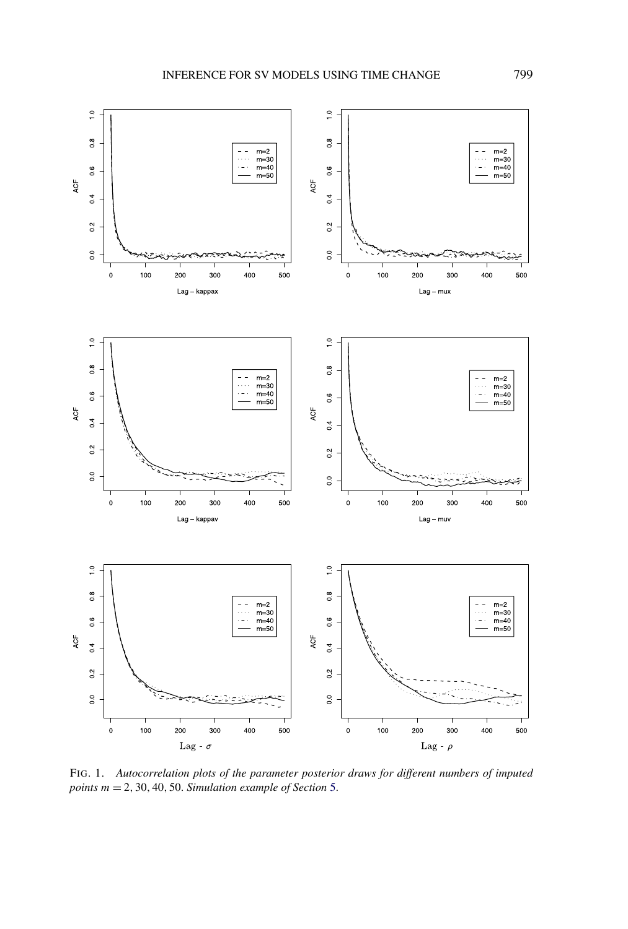<span id="page-15-0"></span>

FIG. 1. *Autocorrelation plots of the parameter posterior draws for different numbers of imputed points m* = 2*,* 30*,* 40*,* 50. *Simulation example of Section* [5.](#page-13-0)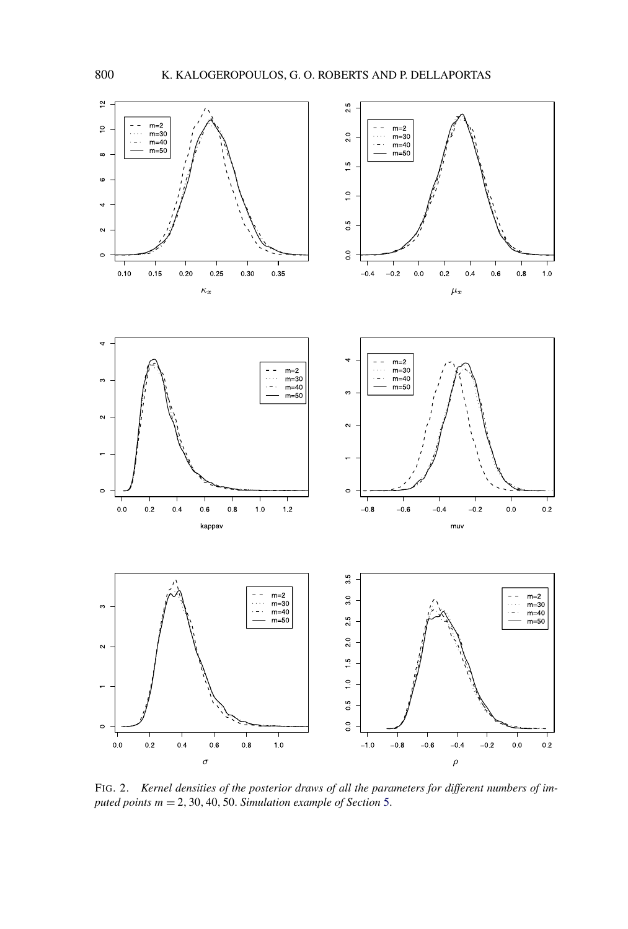<span id="page-16-0"></span>

FIG. 2. *Kernel densities of the posterior draws of all the parameters for different numbers of imputed points m* = 2*,* 30*,* 40*,* 50. *Simulation example of Section* [5.](#page-13-0)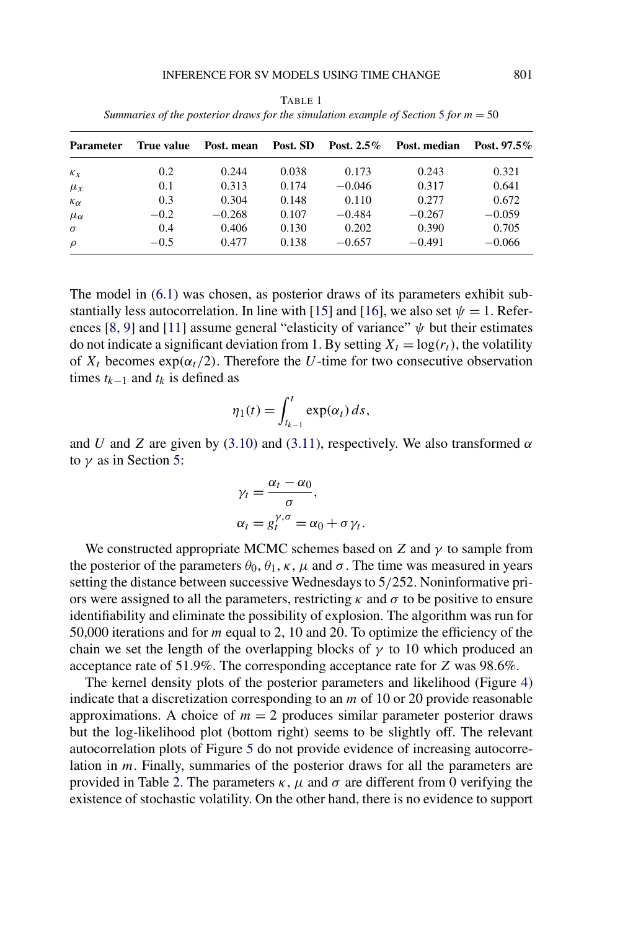<span id="page-17-0"></span>

| <b>Parameter</b>  | True value | Post. mean Post. SD |       | Post. 2.5% | Post. median | Post. $97.5\%$ |
|-------------------|------------|---------------------|-------|------------|--------------|----------------|
| $\kappa_x$        | 0.2        | 0.244               | 0.038 | 0.173      | 0.243        | 0.321          |
| $\mu_x$           | 0.1        | 0.313               | 0.174 | $-0.046$   | 0.317        | 0.641          |
| $\kappa_{\alpha}$ | 0.3        | 0.304               | 0.148 | 0.110      | 0.277        | 0.672          |
| $\mu_{\alpha}$    | $-0.2$     | $-0.268$            | 0.107 | $-0.484$   | $-0.267$     | $-0.059$       |
| $\sigma$          | 0.4        | 0.406               | 0.130 | 0.202      | 0.390        | 0.705          |
| $\rho$            | $-0.5$     | 0.477               | 0.138 | $-0.657$   | $-0.491$     | $-0.066$       |

TABLE 1 *Summaries of the posterior draws for the simulation example of Section* [5](#page-13-0) *for m* = 50

The model in [\(6.1\)](#page-14-0) was chosen, as posterior draws of its parameters exhibit sub-stantially less autocorrelation. In line with [\[15\]](#page-22-0) and [\[16\]](#page-22-0), we also set  $\psi = 1$ . Refer-ences [\[8, 9\]](#page-22-0) and [\[11\]](#page-22-0) assume general "elasticity of variance"  $\psi$  but their estimates do not indicate a significant deviation from 1. By setting  $X_t = \log(r_t)$ , the volatility of  $X_t$  becomes  $\exp(\alpha_t/2)$ . Therefore the *U*-time for two consecutive observation times  $t_{k-1}$  and  $t_k$  is defined as

$$
\eta_1(t) = \int_{t_{k-1}}^t \exp(\alpha_t) \, ds,
$$

and *U* and *Z* are given by [\(3.10\)](#page-7-0) and [\(3.11\)](#page-8-0), respectively. We also transformed  $\alpha$ to *γ* as in Section [5:](#page-13-0)

$$
\gamma_t = \frac{\alpha_t - \alpha_0}{\sigma},
$$
  
\n
$$
\alpha_t = g_t^{\gamma, \sigma} = \alpha_0 + \sigma \gamma_t.
$$

We constructed appropriate MCMC schemes based on *Z* and *γ* to sample from the posterior of the parameters  $\theta_0$ ,  $\theta_1$ ,  $\kappa$ ,  $\mu$  and  $\sigma$ . The time was measured in years setting the distance between successive Wednesdays to 5*/*252. Noninformative priors were assigned to all the parameters, restricting  $\kappa$  and  $\sigma$  to be positive to ensure identifiability and eliminate the possibility of explosion. The algorithm was run for 50,000 iterations and for *m* equal to 2, 10 and 20. To optimize the efficiency of the chain we set the length of the overlapping blocks of  $\gamma$  to 10 which produced an acceptance rate of 51*.*9%. The corresponding acceptance rate for *Z* was 98.6%.

The kernel density plots of the posterior parameters and likelihood (Figure [4\)](#page-19-0) indicate that a discretization corresponding to an *m* of 10 or 20 provide reasonable approximations. A choice of  $m = 2$  produces similar parameter posterior draws but the log-likelihood plot (bottom right) seems to be slightly off. The relevant autocorrelation plots of Figure [5](#page-20-0) do not provide evidence of increasing autocorrelation in *m*. Finally, summaries of the posterior draws for all the parameters are provided in Table [2.](#page-21-0) The parameters  $\kappa$ ,  $\mu$  and  $\sigma$  are different from 0 verifying the existence of stochastic volatility. On the other hand, there is no evidence to support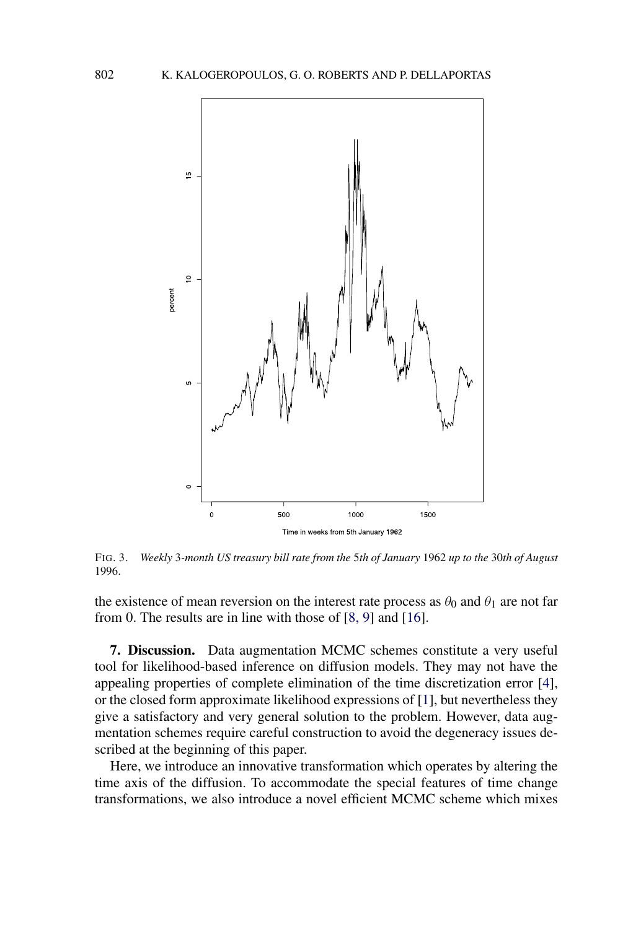<span id="page-18-0"></span>

FIG. 3. *Weekly* 3*-month US treasury bill rate from the* 5*th of January* 1962 *up to the* 30*th of August* 1996.

the existence of mean reversion on the interest rate process as  $\theta_0$  and  $\theta_1$  are not far from 0. The results are in line with those of [\[8, 9\]](#page-22-0) and [\[16\]](#page-22-0).

**7. Discussion.** Data augmentation MCMC schemes constitute a very useful tool for likelihood-based inference on diffusion models. They may not have the appealing properties of complete elimination of the time discretization error [\[4\]](#page-22-0), or the closed form approximate likelihood expressions of [\[1\]](#page-21-0), but nevertheless they give a satisfactory and very general solution to the problem. However, data augmentation schemes require careful construction to avoid the degeneracy issues described at the beginning of this paper.

Here, we introduce an innovative transformation which operates by altering the time axis of the diffusion. To accommodate the special features of time change transformations, we also introduce a novel efficient MCMC scheme which mixes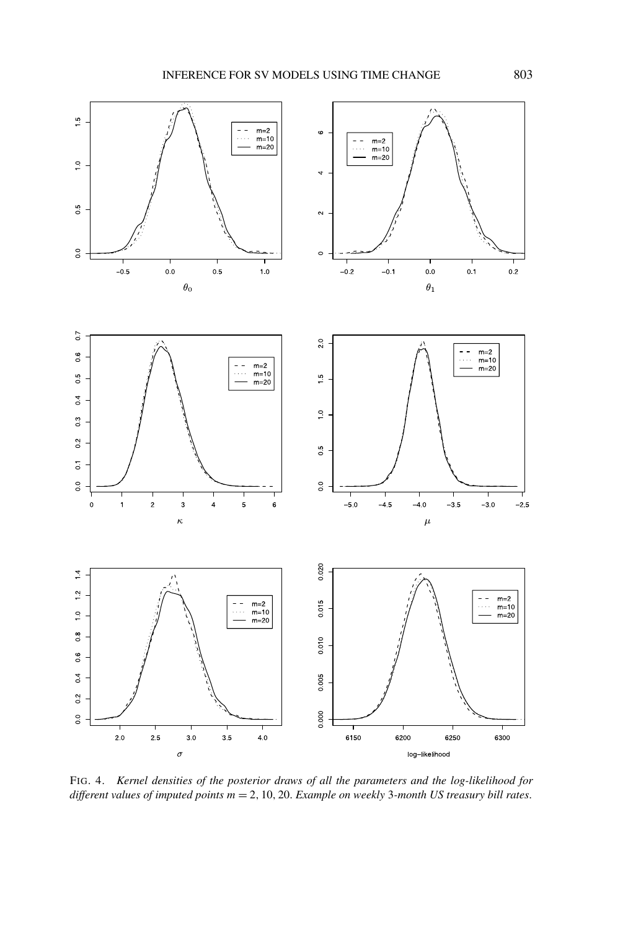<span id="page-19-0"></span>

FIG. 4. *Kernel densities of the posterior draws of all the parameters and the log-likelihood for different values of imputed points m* = 2*,* 10*,* 20. *Example on weekly* 3*-month US treasury bill rates*.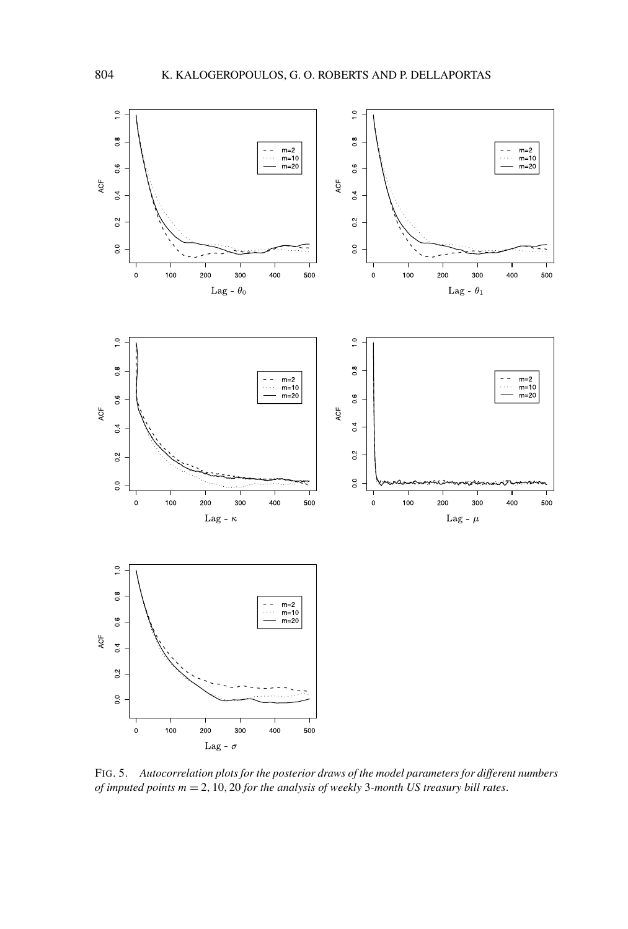<span id="page-20-0"></span>

FIG. 5. *Autocorrelation plots for the posterior draws of the model parameters for different numbers of imputed points m* = 2*,* 10*,* 20 *for the analysis of weekly* 3*-month US treasury bill rates*.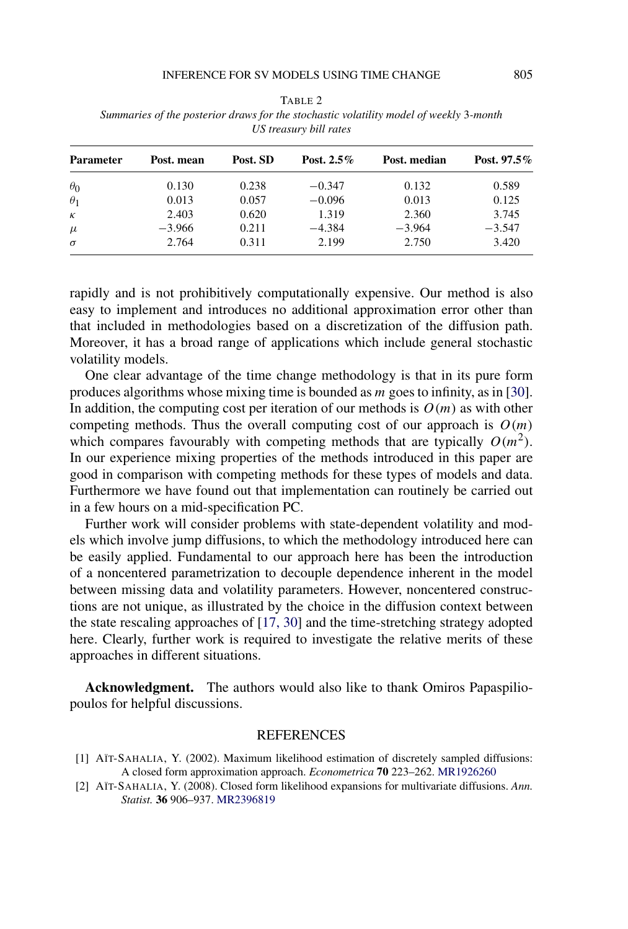| <b>Parameter</b> | Post. mean | Post. SD | Post. $2.5\%$ | Post. median | Post. 97.5% |
|------------------|------------|----------|---------------|--------------|-------------|
| $\theta_0$       | 0.130      | 0.238    | $-0.347$      | 0.132        | 0.589       |
| $\theta_1$       | 0.013      | 0.057    | $-0.096$      | 0.013        | 0.125       |
| $\kappa$         | 2.403      | 0.620    | 1.319         | 2.360        | 3.745       |
| $\mu$            | $-3.966$   | 0.211    | $-4.384$      | $-3.964$     | $-3.547$    |
| $\sigma$         | 2.764      | 0.311    | 2.199         | 2.750        | 3.420       |

<span id="page-21-0"></span>TABLE 2 *Summaries of the posterior draws for the stochastic volatility model of weekly* 3*-month US treasury bill rates*

rapidly and is not prohibitively computationally expensive. Our method is also easy to implement and introduces no additional approximation error other than that included in methodologies based on a discretization of the diffusion path. Moreover, it has a broad range of applications which include general stochastic volatility models.

One clear advantage of the time change methodology is that in its pure form produces algorithms whose mixing time is bounded as *m* goes to infinity, as in [\[30\]](#page-23-0). In addition, the computing cost per iteration of our methods is  $O(m)$  as with other competing methods. Thus the overall computing cost of our approach is  $O(m)$ which compares favourably with competing methods that are typically  $O(m^2)$ . In our experience mixing properties of the methods introduced in this paper are good in comparison with competing methods for these types of models and data. Furthermore we have found out that implementation can routinely be carried out in a few hours on a mid-specification PC.

Further work will consider problems with state-dependent volatility and models which involve jump diffusions, to which the methodology introduced here can be easily applied. Fundamental to our approach here has been the introduction of a noncentered parametrization to decouple dependence inherent in the model between missing data and volatility parameters. However, noncentered constructions are not unique, as illustrated by the choice in the diffusion context between the state rescaling approaches of [\[17, 30\]](#page-22-0) and the time-stretching strategy adopted here. Clearly, further work is required to investigate the relative merits of these approaches in different situations.

**Acknowledgment.** The authors would also like to thank Omiros Papaspiliopoulos for helpful discussions.

## REFERENCES

- [1] AÏT-SAHALIA, Y. (2002). Maximum likelihood estimation of discretely sampled diffusions: A closed form approximation approach. *Econometrica* **70** 223–262. [MR1926260](http://www.ams.org/mathscinet-getitem?mr=1926260)
- [2] AÏT-SAHALIA, Y. (2008). Closed form likelihood expansions for multivariate diffusions. *Ann. Statist.* **36** 906–937. [MR2396819](http://www.ams.org/mathscinet-getitem?mr=2396819)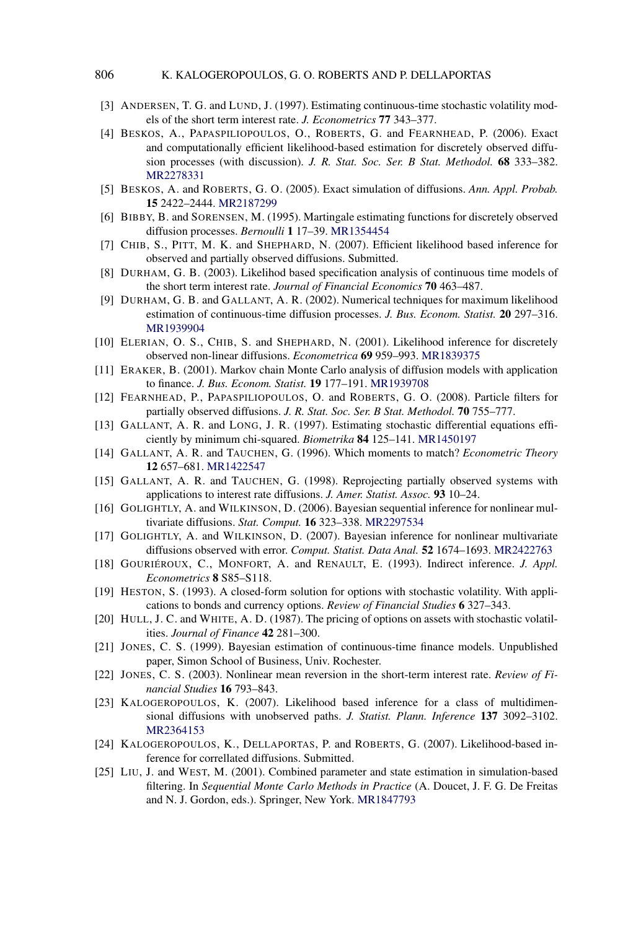- <span id="page-22-0"></span>[3] ANDERSEN, T. G. and LUND, J. (1997). Estimating continuous-time stochastic volatility models of the short term interest rate. *J. Econometrics* **77** 343–377.
- [4] BESKOS, A., PAPASPILIOPOULOS, O., ROBERTS, G. and FEARNHEAD, P. (2006). Exact and computationally efficient likelihood-based estimation for discretely observed diffusion processes (with discussion). *J. R. Stat. Soc. Ser. B Stat. Methodol.* **68** 333–382. [MR2278331](http://www.ams.org/mathscinet-getitem?mr=2278331)
- [5] BESKOS, A. and ROBERTS, G. O. (2005). Exact simulation of diffusions. *Ann. Appl. Probab.* **15** 2422–2444. [MR2187299](http://www.ams.org/mathscinet-getitem?mr=2187299)
- [6] BIBBY, B. and SORENSEN, M. (1995). Martingale estimating functions for discretely observed diffusion processes. *Bernoulli* **1** 17–39. [MR1354454](http://www.ams.org/mathscinet-getitem?mr=1354454)
- [7] CHIB, S., PITT, M. K. and SHEPHARD, N. (2007). Efficient likelihood based inference for observed and partially observed diffusions. Submitted.
- [8] DURHAM, G. B. (2003). Likelihod based specification analysis of continuous time models of the short term interest rate. *Journal of Financial Economics* **70** 463–487.
- [9] DURHAM, G. B. and GALLANT, A. R. (2002). Numerical techniques for maximum likelihood estimation of continuous-time diffusion processes. *J. Bus. Econom. Statist.* **20** 297–316. [MR1939904](http://www.ams.org/mathscinet-getitem?mr=1939904)
- [10] ELERIAN, O. S., CHIB, S. and SHEPHARD, N. (2001). Likelihood inference for discretely observed non-linear diffusions. *Econometrica* **69** 959–993. [MR1839375](http://www.ams.org/mathscinet-getitem?mr=1839375)
- [11] ERAKER, B. (2001). Markov chain Monte Carlo analysis of diffusion models with application to finance. *J. Bus. Econom. Statist.* **19** 177–191. [MR1939708](http://www.ams.org/mathscinet-getitem?mr=1939708)
- [12] FEARNHEAD, P., PAPASPILIOPOULOS, O. and ROBERTS, G. O. (2008). Particle filters for partially observed diffusions. *J. R. Stat. Soc. Ser. B Stat. Methodol.* **70** 755–777.
- [13] GALLANT, A. R. and LONG, J. R. (1997). Estimating stochastic differential equations efficiently by minimum chi-squared. *Biometrika* **84** 125–141. [MR1450197](http://www.ams.org/mathscinet-getitem?mr=1450197)
- [14] GALLANT, A. R. and TAUCHEN, G. (1996). Which moments to match? *Econometric Theory* **12** 657–681. [MR1422547](http://www.ams.org/mathscinet-getitem?mr=1422547)
- [15] GALLANT, A. R. and TAUCHEN, G. (1998). Reprojecting partially observed systems with applications to interest rate diffusions. *J. Amer. Statist. Assoc.* **93** 10–24.
- [16] GOLIGHTLY, A. and WILKINSON, D. (2006). Bayesian sequential inference for nonlinear multivariate diffusions. *Stat. Comput.* **16** 323–338. [MR2297534](http://www.ams.org/mathscinet-getitem?mr=2297534)
- [17] GOLIGHTLY, A. and WILKINSON, D. (2007). Bayesian inference for nonlinear multivariate diffusions observed with error. *Comput. Statist. Data Anal.* **52** 1674–1693. [MR2422763](http://www.ams.org/mathscinet-getitem?mr=2422763)
- [18] GOURIÉROUX, C., MONFORT, A. and RENAULT, E. (1993). Indirect inference. *J. Appl. Econometrics* **8** S85–S118.
- [19] HESTON, S. (1993). A closed-form solution for options with stochastic volatility. With applications to bonds and currency options. *Review of Financial Studies* **6** 327–343.
- [20] HULL, J. C. and WHITE, A. D. (1987). The pricing of options on assets with stochastic volatilities. *Journal of Finance* **42** 281–300.
- [21] JONES, C. S. (1999). Bayesian estimation of continuous-time finance models. Unpublished paper, Simon School of Business, Univ. Rochester.
- [22] JONES, C. S. (2003). Nonlinear mean reversion in the short-term interest rate. *Review of Financial Studies* **16** 793–843.
- [23] KALOGEROPOULOS, K. (2007). Likelihood based inference for a class of multidimensional diffusions with unobserved paths. *J. Statist. Plann. Inference* **137** 3092–3102. [MR2364153](http://www.ams.org/mathscinet-getitem?mr=2364153)
- [24] KALOGEROPOULOS, K., DELLAPORTAS, P. and ROBERTS, G. (2007). Likelihood-based inference for correllated diffusions. Submitted.
- [25] LIU, J. and WEST, M. (2001). Combined parameter and state estimation in simulation-based filtering. In *Sequential Monte Carlo Methods in Practice* (A. Doucet, J. F. G. De Freitas and N. J. Gordon, eds.). Springer, New York. [MR1847793](http://www.ams.org/mathscinet-getitem?mr=1847793)